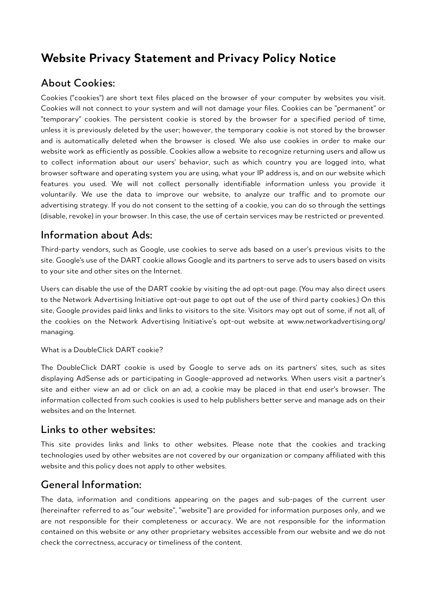# **Website Privacy Statement and Privacy Policy Notice**

## About Cookies:

Cookies ("cookies") are short text files placed on the browser of your computer by websites you visit. Cookies will not connect to your system and will not damage your files. Cookies can be "permanent" or "temporary" cookies. The persistent cookie is stored by the browser for a specified period of time, unless it is previously deleted by the user; however, the temporary cookie is not stored by the browser and is automatically deleted when the browser is closed. We also use cookies in order to make our website work as efficiently as possible. Cookies allow a website to recognize returning users and allow us to collect information about our users' behavior, such as which country you are logged into, what browser software and operating system you are using, what your IP address is, and on our website which features you used. We will not collect personally identifiable information unless you provide it voluntarily. We use the data to improve our website, to analyze our traffic and to promote our advertising strategy. If you do not consent to the setting of a cookie, you can do so through the settings (disable, revoke) in your browser. In this case, the use of certain services may be restricted or prevented.

## Information about Ads:

Third-party vendors, such as Google, use cookies to serve ads based on a user's previous visits to the site. Google's use of the DART cookie allows Google and its partners to serve ads to users based on visits to your site and other sites on the Internet.

Users can disable the use of the DART cookie by visiting the ad opt-out page. (You may also direct users to the Network Advertising Initiative opt-out page to opt out of the use of third party cookies.) On this site, Google provides paid links and links to visitors to the site. Visitors may opt out of some, if not all, of the cookies on the Network Advertising Initiative's opt-out website at www.networkadvertising.org/ managing.

What is a DoubleClick DART cookie?

The DoubleClick DART cookie is used by Google to serve ads on its partners' sites, such as sites displaying AdSense ads or participating in Google-approved ad networks. When users visit a partner's site and either view an ad or click on an ad, a cookie may be placed in that end user's browser. The information collected from such cookies is used to help publishers better serve and manage ads on their websites and on the Internet.

#### Links to other websites:

This site provides links and links to other websites. Please note that the cookies and tracking technologies used by other websites are not covered by our organization or company affiliated with this website and this policy does not apply to other websites.

### General Information:

The data, information and conditions appearing on the pages and sub-pages of the current user (hereinafter referred to as "our website", "website") are provided for information purposes only, and we are not responsible for their completeness or accuracy. We are not responsible for the information contained on this website or any other proprietary websites accessible from our website and we do not check the correctness, accuracy or timeliness of the content.